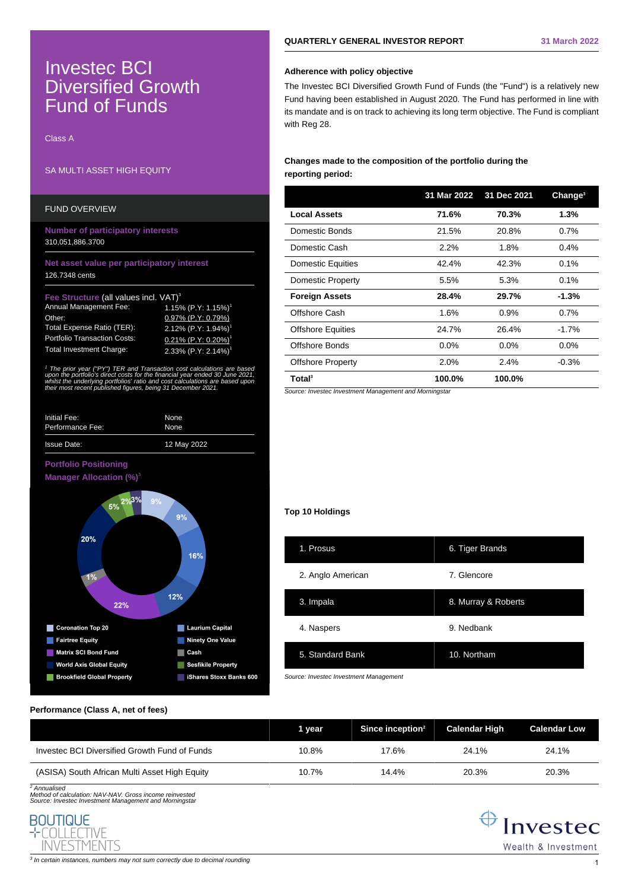# Investec BCI **Diversified Growth** Fund of Funds

Class A

# SA MULTI ASSET HIGH EQUITY

## FUND OVERVIEW

**Number of participatory interests** 310,051,886.3700

## **Net asset value per participatory interest** 126.7348 cents

## **Structure (all values incl. VAT)<sup>3</sup>**

| Annual Management Fee:              | 1.15% (P.Y: 1.15%) <sup>1</sup>    |
|-------------------------------------|------------------------------------|
| Other:                              | 0.97% (P.Y: 0.79%)                 |
| Total Expense Ratio (TER):          | 2.12% $(P.Y: 1.94%)^1$             |
| <b>Portfolio Transaction Costs:</b> | $0.21\%$ (P.Y: 0.20%) <sup>1</sup> |
| <b>Total Investment Charge:</b>     | 2.33% (P.Y: 2.14%) <sup>1</sup>    |

<sup>1</sup> The prior year ("PY") TER and Transaction cost calculations are based upon the portfolio's direct costs for the financial year ended 30 June 2021, whilst the underlying portfolios' ratio and cost calculations are based upor. their most recent published figures, being 31 December 2021.

| Initial Fee:       | None        |
|--------------------|-------------|
| Performance Fee:   | None        |
| <b>Issue Date:</b> | 12 May 2022 |

# **Portfolio Positioning**



# **QUARTERLY GENERAL INVESTOR REPORT 31 March 2022**

## **Adherence with policy objective**

The Investec BCI Diversified Growth Fund of Funds (the "Fund") is a relatively new Fund having been established in August 2020. The Fund has performed in line with its mandate and is on track to achieving its long term objective. The Fund is compliant with Reg 28.

# **Changes made to the composition of the portfolio during the reporting period:**

|                          | 31 Mar 2022 | 31 Dec 2021 | Change <sup>3</sup> |
|--------------------------|-------------|-------------|---------------------|
| <b>Local Assets</b>      | 71.6%       | 70.3%       | 1.3%                |
| Domestic Bonds           | 21.5%       | 20.8%       | 0.7%                |
| Domestic Cash            | 2.2%        | 1.8%        | $0.4\%$             |
| <b>Domestic Equities</b> | 42.4%       | 42.3%       | $0.1\%$             |
| Domestic Property        | 5.5%        | 5.3%        | $0.1\%$             |
| <b>Foreign Assets</b>    | 28.4%       | 29.7%       | $-1.3%$             |
| Offshore Cash            | 1.6%        | $0.9\%$     | 0.7%                |
| <b>Offshore Equities</b> | 24.7%       | 26.4%       | $-1.7%$             |
| Offshore Bonds           | $0.0\%$     | $0.0\%$     | $0.0\%$             |
| <b>Offshore Property</b> | 2.0%        | 2.4%        | $-0.3%$             |
| Total <sup>3</sup>       | 100.0%      | 100.0%      |                     |

Source: Investec Investment Management and Morningstar

## **Top 10 Holdings**

| 1. Prosus         | 6. Tiger Brands     |
|-------------------|---------------------|
| 2. Anglo American | 7. Glencore         |
| 3. Impala         | 8. Murray & Roberts |
| 4. Naspers        | 9. Nedbank          |
| 5. Standard Bank  | 10. Northam         |

Source: Investec Investment Management

## **Performance (Class A, net of fees)**

|                                               | 1 vear | Since inception $2$ | <b>Calendar High</b> | <b>Calendar Low</b> |
|-----------------------------------------------|--------|---------------------|----------------------|---------------------|
| Investec BCI Diversified Growth Fund of Funds | 10.8%  | 17.6%               | 24.1%                | 24.1%               |
| (ASISA) South African Multi Asset High Equity | 10.7%  | 14.4%               | 20.3%                | 20.3%               |

2 Annualised Method of calculation: NAV-NAV. Gross income reinvested Source: Investec Investment Management and Morningstar





 $^3$  In certain instances, numbers may not sum correctly due to decimal rounding  $\,1\,$